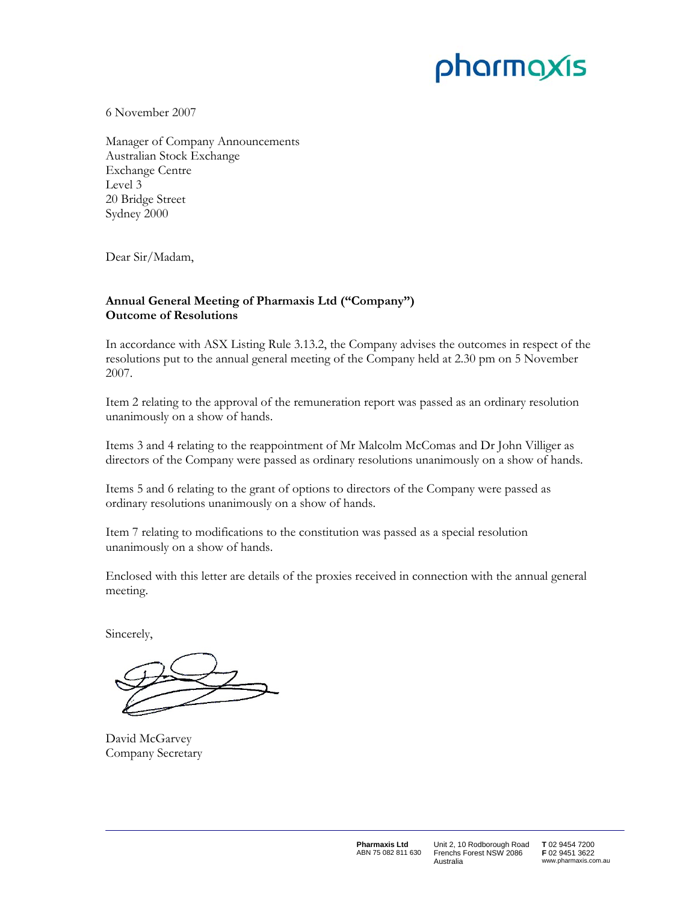# pharmaxis

6 November 2007

Manager of Company Announcements Australian Stock Exchange Exchange Centre Level 3 20 Bridge Street Sydney 2000

Dear Sir/Madam,

## **Annual General Meeting of Pharmaxis Ltd ("Company") Outcome of Resolutions**

In accordance with ASX Listing Rule 3.13.2, the Company advises the outcomes in respect of the resolutions put to the annual general meeting of the Company held at 2.30 pm on 5 November 2007.

Item 2 relating to the approval of the remuneration report was passed as an ordinary resolution unanimously on a show of hands.

Items 3 and 4 relating to the reappointment of Mr Malcolm McComas and Dr John Villiger as directors of the Company were passed as ordinary resolutions unanimously on a show of hands.

Items 5 and 6 relating to the grant of options to directors of the Company were passed as ordinary resolutions unanimously on a show of hands.

Item 7 relating to modifications to the constitution was passed as a special resolution unanimously on a show of hands.

Enclosed with this letter are details of the proxies received in connection with the annual general meeting.

Sincerely,

David McGarvey Company Secretary